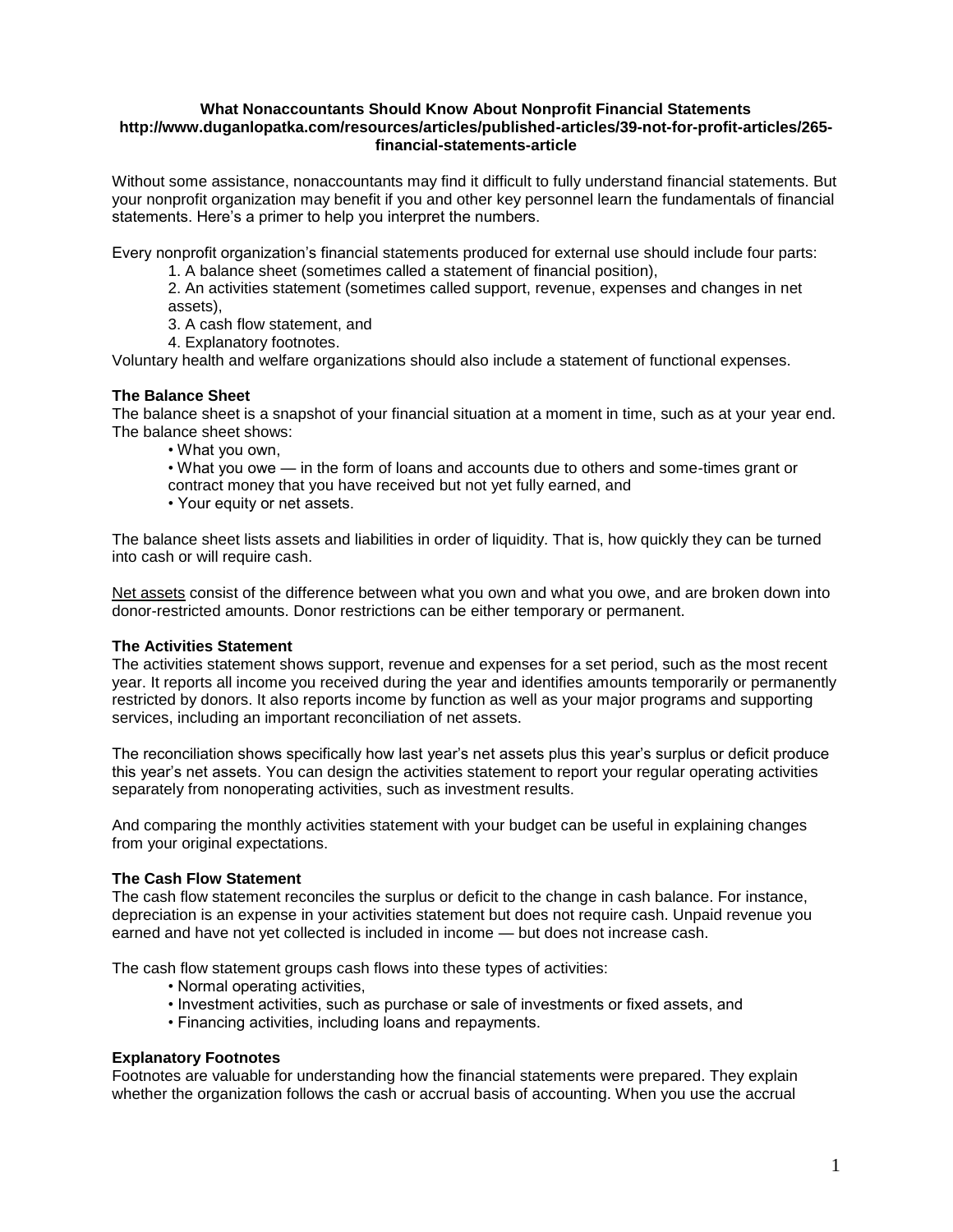#### **What Nonaccountants Should Know About Nonprofit Financial Statements http://www.duganlopatka.com/resources/articles/published-articles/39-not-for-profit-articles/265 financial-statements-article**

Without some assistance, nonaccountants may find it difficult to fully understand financial statements. But your nonprofit organization may benefit if you and other key personnel learn the fundamentals of financial statements. Here's a primer to help you interpret the numbers.

Every nonprofit organization's financial statements produced for external use should include four parts:

1. A balance sheet (sometimes called a statement of financial position),

2. An activities statement (sometimes called support, revenue, expenses and changes in net assets),

3. A cash flow statement, and

4. Explanatory footnotes.

Voluntary health and welfare organizations should also include a statement of functional expenses.

## **The Balance Sheet**

The balance sheet is a snapshot of your financial situation at a moment in time, such as at your year end. The balance sheet shows:

- What you own,
- What you owe in the form of loans and accounts due to others and some-times grant or
- contract money that you have received but not yet fully earned, and
- Your equity or net assets.

The balance sheet lists assets and liabilities in order of liquidity. That is, how quickly they can be turned into cash or will require cash.

Net assets consist of the difference between what you own and what you owe, and are broken down into donor-restricted amounts. Donor restrictions can be either temporary or permanent.

## **The Activities Statement**

The activities statement shows support, revenue and expenses for a set period, such as the most recent year. It reports all income you received during the year and identifies amounts temporarily or permanently restricted by donors. It also reports income by function as well as your major programs and supporting services, including an important reconciliation of net assets.

The reconciliation shows specifically how last year's net assets plus this year's surplus or deficit produce this year's net assets. You can design the activities statement to report your regular operating activities separately from nonoperating activities, such as investment results.

And comparing the monthly activities statement with your budget can be useful in explaining changes from your original expectations.

## **The Cash Flow Statement**

The cash flow statement reconciles the surplus or deficit to the change in cash balance. For instance, depreciation is an expense in your activities statement but does not require cash. Unpaid revenue you earned and have not yet collected is included in income — but does not increase cash.

The cash flow statement groups cash flows into these types of activities:

- Normal operating activities,
- Investment activities, such as purchase or sale of investments or fixed assets, and
- Financing activities, including loans and repayments.

## **Explanatory Footnotes**

Footnotes are valuable for understanding how the financial statements were prepared. They explain whether the organization follows the cash or accrual basis of accounting. When you use the accrual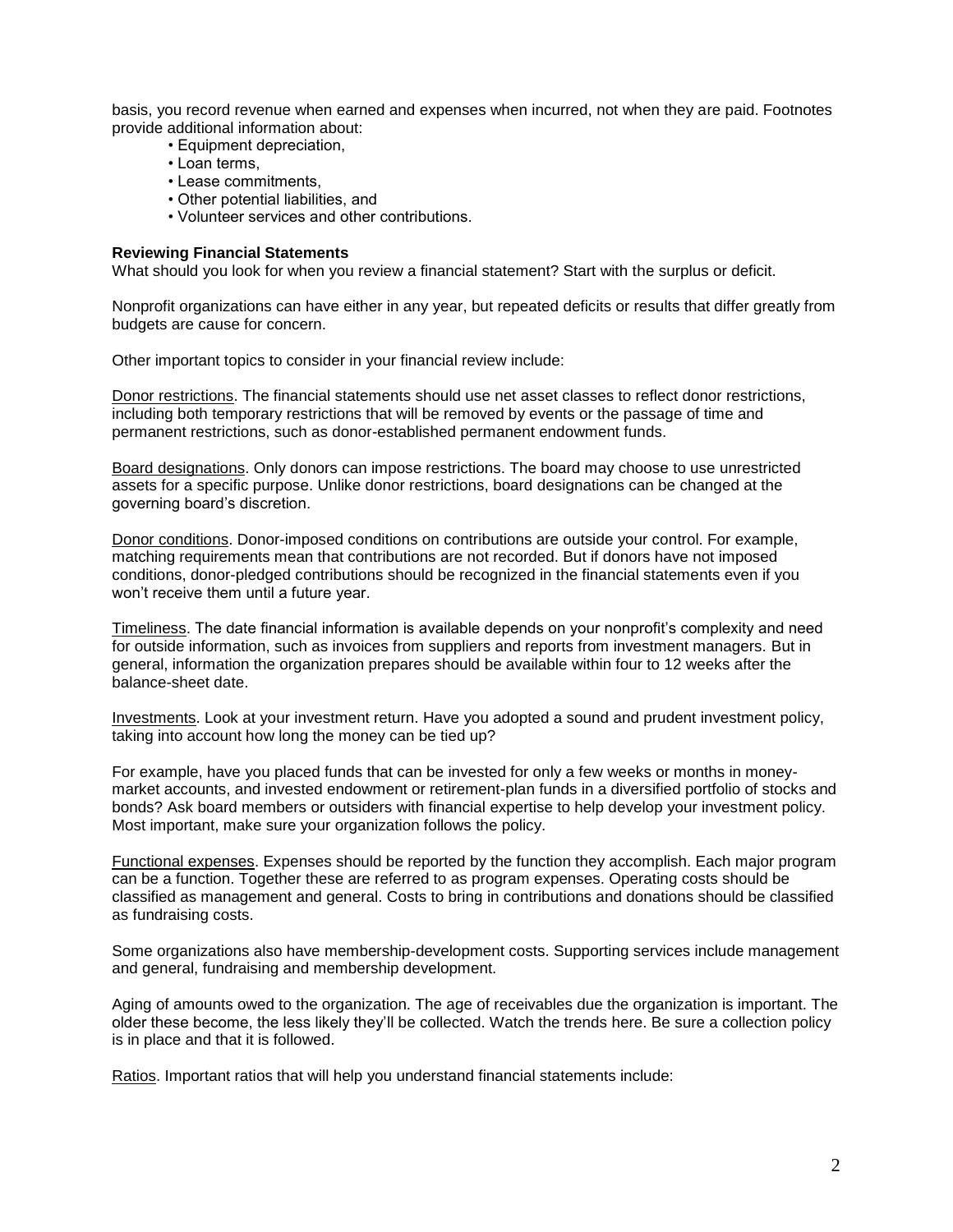basis, you record revenue when earned and expenses when incurred, not when they are paid. Footnotes provide additional information about:

- Equipment depreciation,
- Loan terms,
- Lease commitments,
- Other potential liabilities, and
- Volunteer services and other contributions.

#### **Reviewing Financial Statements**

What should you look for when you review a financial statement? Start with the surplus or deficit.

Nonprofit organizations can have either in any year, but repeated deficits or results that differ greatly from budgets are cause for concern.

Other important topics to consider in your financial review include:

Donor restrictions. The financial statements should use net asset classes to reflect donor restrictions, including both temporary restrictions that will be removed by events or the passage of time and permanent restrictions, such as donor-established permanent endowment funds.

Board designations. Only donors can impose restrictions. The board may choose to use unrestricted assets for a specific purpose. Unlike donor restrictions, board designations can be changed at the governing board's discretion.

Donor conditions. Donor-imposed conditions on contributions are outside your control. For example, matching requirements mean that contributions are not recorded. But if donors have not imposed conditions, donor-pledged contributions should be recognized in the financial statements even if you won't receive them until a future year.

Timeliness. The date financial information is available depends on your nonprofit's complexity and need for outside information, such as invoices from suppliers and reports from investment managers. But in general, information the organization prepares should be available within four to 12 weeks after the balance-sheet date.

Investments. Look at your investment return. Have you adopted a sound and prudent investment policy, taking into account how long the money can be tied up?

For example, have you placed funds that can be invested for only a few weeks or months in moneymarket accounts, and invested endowment or retirement-plan funds in a diversified portfolio of stocks and bonds? Ask board members or outsiders with financial expertise to help develop your investment policy. Most important, make sure your organization follows the policy.

Functional expenses. Expenses should be reported by the function they accomplish. Each major program can be a function. Together these are referred to as program expenses. Operating costs should be classified as management and general. Costs to bring in contributions and donations should be classified as fundraising costs.

Some organizations also have membership-development costs. Supporting services include management and general, fundraising and membership development.

Aging of amounts owed to the organization. The age of receivables due the organization is important. The older these become, the less likely they'll be collected. Watch the trends here. Be sure a collection policy is in place and that it is followed.

Ratios. Important ratios that will help you understand financial statements include: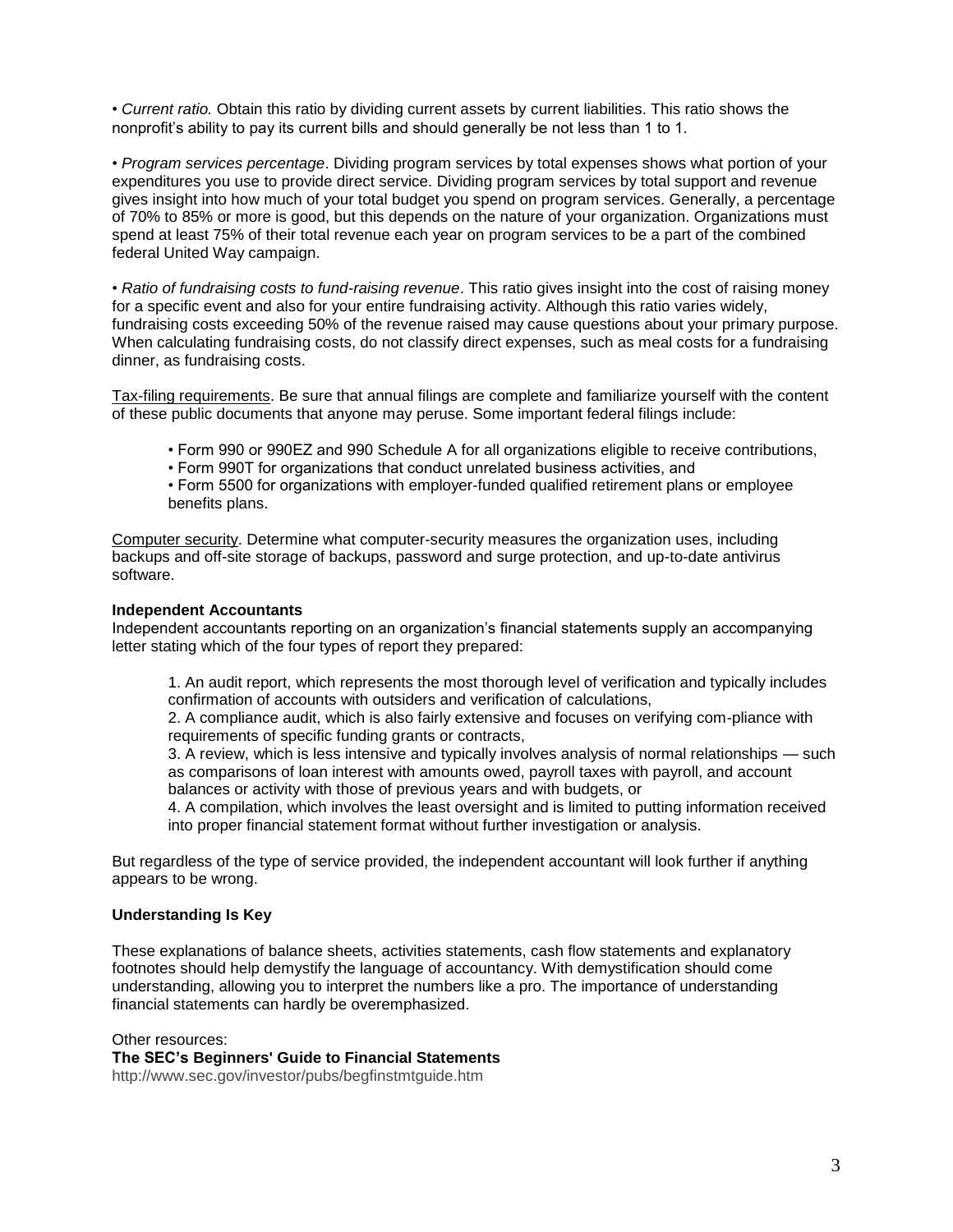• *Current ratio.* Obtain this ratio by dividing current assets by current liabilities. This ratio shows the nonprofit's ability to pay its current bills and should generally be not less than 1 to 1.

• *Program services percentage*. Dividing program services by total expenses shows what portion of your expenditures you use to provide direct service. Dividing program services by total support and revenue gives insight into how much of your total budget you spend on program services. Generally, a percentage of 70% to 85% or more is good, but this depends on the nature of your organization. Organizations must spend at least 75% of their total revenue each year on program services to be a part of the combined federal United Way campaign.

• *Ratio of fundraising costs to fund-raising revenue*. This ratio gives insight into the cost of raising money for a specific event and also for your entire fundraising activity. Although this ratio varies widely, fundraising costs exceeding 50% of the revenue raised may cause questions about your primary purpose. When calculating fundraising costs, do not classify direct expenses, such as meal costs for a fundraising dinner, as fundraising costs.

Tax-filing requirements. Be sure that annual filings are complete and familiarize yourself with the content of these public documents that anyone may peruse. Some important federal filings include:

- Form 990 or 990EZ and 990 Schedule A for all organizations eligible to receive contributions,
- Form 990T for organizations that conduct unrelated business activities, and
- Form 5500 for organizations with employer-funded qualified retirement plans or employee benefits plans.

Computer security. Determine what computer-security measures the organization uses, including backups and off-site storage of backups, password and surge protection, and up-to-date antivirus software.

#### **Independent Accountants**

Independent accountants reporting on an organization's financial statements supply an accompanying letter stating which of the four types of report they prepared:

1. An audit report, which represents the most thorough level of verification and typically includes confirmation of accounts with outsiders and verification of calculations,

2. A compliance audit, which is also fairly extensive and focuses on verifying com-pliance with requirements of specific funding grants or contracts,

3. A review, which is less intensive and typically involves analysis of normal relationships — such as comparisons of loan interest with amounts owed, payroll taxes with payroll, and account balances or activity with those of previous years and with budgets, or

4. A compilation, which involves the least oversight and is limited to putting information received into proper financial statement format without further investigation or analysis.

But regardless of the type of service provided, the independent accountant will look further if anything appears to be wrong.

## **Understanding Is Key**

These explanations of balance sheets, activities statements, cash flow statements and explanatory footnotes should help demystify the language of accountancy. With demystification should come understanding, allowing you to interpret the numbers like a pro. The importance of understanding financial statements can hardly be overemphasized.

Other resources: **The SEC's Beginners' Guide to Financial Statements** http://www.sec.gov/investor/pubs/begfinstmtguide.htm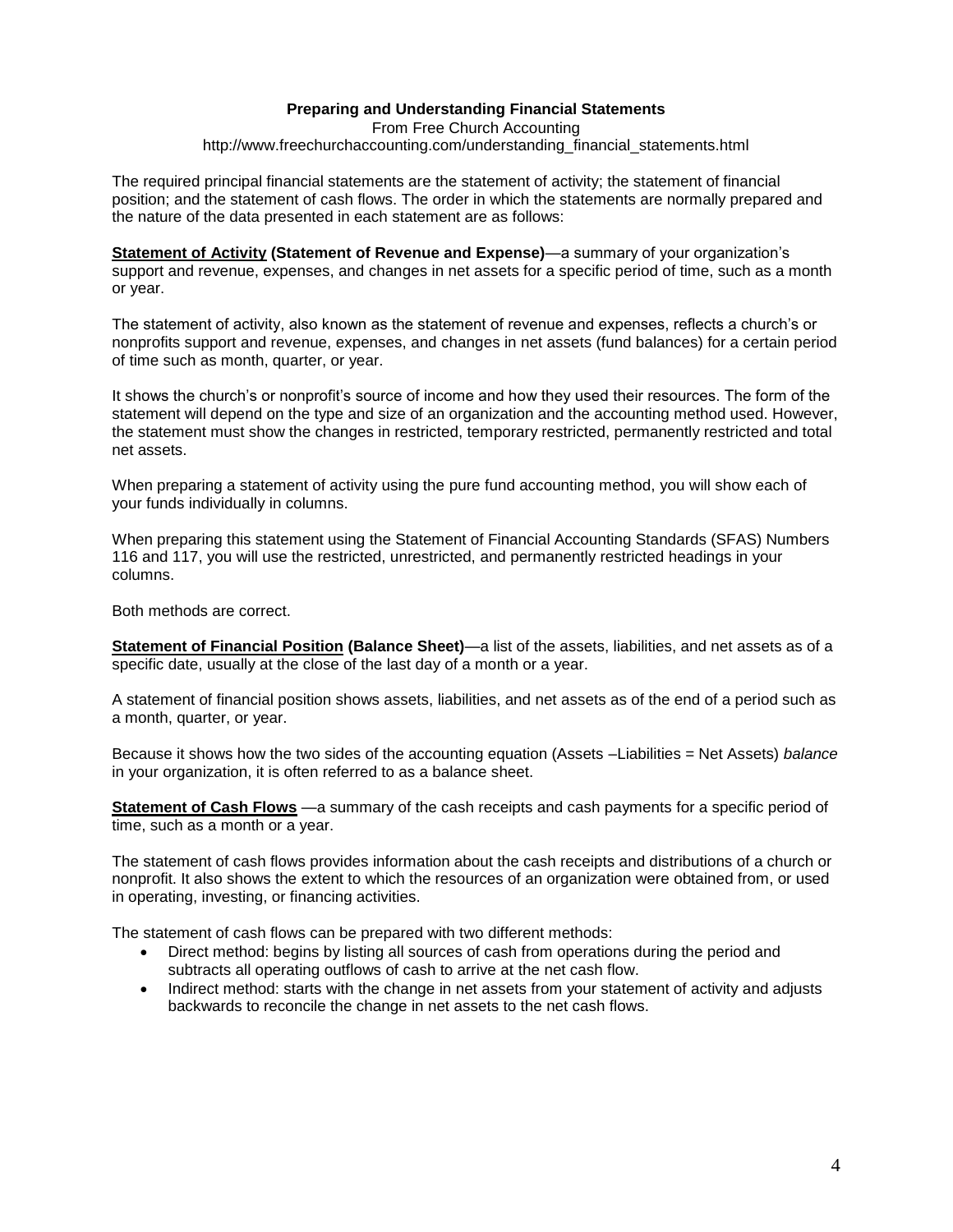# **Preparing and Understanding Financial Statements**

From Free Church Accounting http://www.freechurchaccounting.com/understanding\_financial\_statements.html

The required principal financial statements are the statement of activity; the statement of financial position; and the statement of cash flows. The order in which the statements are normally prepared and the nature of the data presented in each statement are as follows:

**[Statement of Activity](http://www.freechurchaccounting.com/statement_of_activity.html) (Statement of Revenue and Expense)**—a summary of your organization's support and revenue, expenses, and changes in net assets for a specific period of time, such as a month or year.

The statement of activity, also known as the statement of revenue and expenses, reflects a church's or nonprofits support and revenue, expenses, and changes in net assets (fund balances) for a certain period of time such as month, quarter, or year.

It shows the church's or nonprofit's source of income and how they used their resources. The form of the statement will depend on the type and size of an organization and the accounting method used. However, the statement must show the changes in restricted, temporary restricted, permanently restricted and total net assets.

When preparing a statement of activity using the [pure fund accounting](http://www.freechurchaccounting.com/fundaccounting.html) method, you will show each of your funds individually in columns.

When preparing this statement using the Statement of Financial Accounting Standards (SFAS) Numbers 116 and 117, you will use the restricted, unrestricted, and permanently restricted headings in your columns.

Both methods are correct.

**[Statement of Financial Position](http://www.freechurchaccounting.com/statement_of_financial_position.html) (Balance Sheet)**—a list of the assets, liabilities, and net assets as of a specific date, usually at the close of the last day of a month or a year.

A statement of financial position shows assets, liabilities, and net assets as of the end of a period such as a month, quarter, or year.

Because it shows how the two sides of the accounting equation (Assets –Liabilities = Net Assets) *balance* in your organization, it is often referred to as a balance sheet.

**[Statement of Cash Flows](http://www.freechurchaccounting.com/statement_of_cash_flows.html)** —a summary of the cash receipts and cash payments for a specific period of time, such as a month or a year.

The statement of cash flows provides information about the cash receipts and distributions of a church or nonprofit. It also shows the extent to which the resources of an organization were obtained from, or used in operating, investing, or financing activities.

The statement of cash flows can be prepared with two different methods:

- Direct method: begins by listing all sources of cash from operations during the period and subtracts all operating outflows of cash to arrive at the net cash flow.
- Indirect method: starts with the change in net assets from your statement of activity and adjusts backwards to reconcile the change in net assets to the net cash flows.